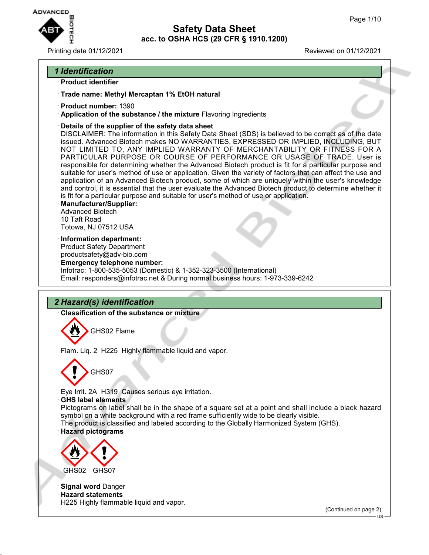

Printing date 01/12/2021 Reviewed on 01/12/2021

## *1 Identification*

- · **Product identifier**
- · **Trade name: Methyl Mercaptan 1% EtOH natural**
- · **Product number:** 1390
- · **Application of the substance / the mixture** Flavoring Ingredients
- · **Details of the supplier of the safety data sheet**

DISCLAIMER: The information in this Safety Data Sheet (SDS) is believed to be correct as of the date issued. Advanced Biotech makes NO WARRANTIES, EXPRESSED OR IMPLIED, INCLUDING, BUT NOT LIMITED TO, ANY IMPLIED WARRANTY OF MERCHANTABILITY OR FITNESS FOR A PARTICULAR PURPOSE OR COURSE OF PERFORMANCE OR USAGE OF TRADE. User is responsible for determining whether the Advanced Biotech product is fit for a particular purpose and suitable for user's method of use or application. Given the variety of factors that can affect the use and application of an Advanced Biotech product, some of which are uniquely within the user's knowledge and control, it is essential that the user evaluate the Advanced Biotech product to determine whether it is fit for a particular purpose and suitable for user's method of use or application.

- · **Manufacturer/Supplier:** Advanced Biotech 10 Taft Road Totowa, NJ 07512 USA
- · **Information department:** Product Safety Department productsafety@adv-bio.com
- · **Emergency telephone number:** Infotrac: 1-800-535-5053 (Domestic) & 1-352-323-3500 (International) Email: responders@infotrac.net & During normal business hours: 1-973-339-6242

# *2 Hazard(s) identification*

· **Classification of the substance or mixture**

GHS02 Flame

Flam. Liq. 2 H225 Highly flammable liquid and vapor.



Eye Irrit. 2A H319 Causes serious eye irritation.

· **GHS label elements**

Pictograms on label shall be in the shape of a square set at a point and shall include a black hazard symbol on a white background with a red frame sufficiently wide to be clearly visible.

The product is classified and labeled according to the Globally Harmonized System (GHS).

· **Hazard pictograms**



· **Signal word** Danger

· **Hazard statements** H225 Highly flammable liquid and vapor.

(Continued on page 2)

US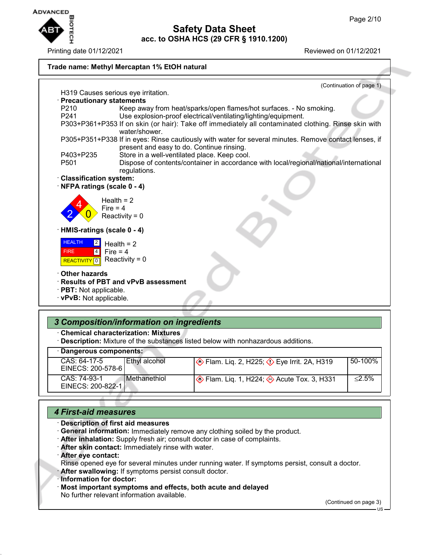

#### Printing date 01/12/2021 Reviewed on 01/12/2021 **Trade name: Methyl Mercaptan 1% EtOH natural** (Continuation of page 1) H319 Causes serious eye irritation. · **Precautionary statements** Keep away from heat/sparks/open flames/hot surfaces. - No smoking. P241 Use explosion-proof electrical/ventilating/lighting/equipment. P303+P361+P353 If on skin (or hair): Take off immediately all contaminated clothing. Rinse skin with water/shower. P305+P351+P338 If in eyes: Rinse cautiously with water for several minutes. Remove contact lenses, if present and easy to do. Continue rinsing. P403+P235 Store in a well-ventilated place. Keep cool. P501 Dispose of contents/container in accordance with local/regional/national/international regulations. · **Classification system:** · **NFPA ratings (scale 0 - 4)** 2 4  $\overline{0}$ Health  $= 2$ Fire  $= 4$ Reactivity =  $0$ · **HMIS-ratings (scale 0 - 4) HEALTH**  FIRE REACTIVITY 0 2 4 Health  $= 2$ Fire  $= 4$ Reactivity =  $0$ · **Other hazards** · **Results of PBT and vPvB assessment** · **PBT:** Not applicable. · **vPvB:** Not applicable. *3 Composition/information on ingredients*

· **Chemical characterization: Mixtures**

· **Description:** Mixture of the substances listed below with nonhazardous additions.

# · **Dangerous components:**

| CAS: 64-17-5<br>l Ethvl alcohol<br>EINECS: 200-578-6       | Eye Irrit. 2A, H319 Polam. Liq. 2, H319         | 50-100%   |
|------------------------------------------------------------|-------------------------------------------------|-----------|
| CAS: 74-93-1<br><b>I</b> Methanethiol<br>EINECS: 200-822-1 | <b>Solution</b> Eq. 1, H224; Acute Tox. 3, H331 | $< 2.5\%$ |

## *4 First-aid measures*

- · **Description of first aid measures**
- · **General information:** Immediately remove any clothing soiled by the product.
- · **After inhalation:** Supply fresh air; consult doctor in case of complaints.
- · **After skin contact:** Immediately rinse with water.
- · **After eye contact:**

Rinse opened eye for several minutes under running water. If symptoms persist, consult a doctor. · **After swallowing:** If symptoms persist consult doctor.

- · **Information for doctor:**
- · **Most important symptoms and effects, both acute and delayed** No further relevant information available.

(Continued on page 3)

US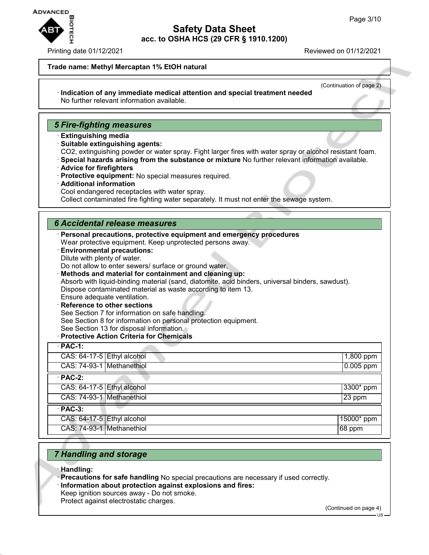

#### Printing date 01/12/2021 Reviewed on 01/12/2021

#### **Trade name: Methyl Mercaptan 1% EtOH natural**

(Continuation of page 2)

#### · **Indication of any immediate medical attention and special treatment needed** No further relevant information available.

## *5 Fire-fighting measures*

- · **Extinguishing media**
- · **Suitable extinguishing agents:**
- CO2, extinguishing powder or water spray. Fight larger fires with water spray or alcohol resistant foam.
- · **Special hazards arising from the substance or mixture** No further relevant information available.
- · **Advice for firefighters**
- · **Protective equipment:** No special measures required.
- · **Additional information**
- Cool endangered receptacles with water spray.

Collect contaminated fire fighting water separately. It must not enter the sewage system.

### *6 Accidental release measures*

- · **Personal precautions, protective equipment and emergency procedures** Wear protective equipment. Keep unprotected persons away. · **Environmental precautions:**
	- Dilute with plenty of water.
	- Do not allow to enter sewers/ surface or ground water.
	- · **Methods and material for containment and cleaning up:**

Absorb with liquid-binding material (sand, diatomite, acid binders, universal binders, sawdust). Dispose contaminated material as waste according to item 13.

Ensure adequate ventilation.

- **Reference to other sections** See Section 7 for information on safe handling. See Section 8 for information on personal protection equipment. See Section 13 for disposal information.
- · **Protective Action Criteria for Chemicals**

| $\cdot$ PAC-1:             |             |
|----------------------------|-------------|
| CAS: 64-17-5 Ethyl alcohol | $1,800$ ppm |
| CAS: 74-93-1 Methanethiol  | $0.005$ ppm |
| $\cdot$ PAC-2:             |             |
| CAS: 64-17-5 Ethyl alcohol | 3300* ppm   |
| CAS: 74-93-1 Methanethiol  | 23 ppm      |
| $\cdot$ PAC-3:             |             |
| CAS: 64-17-5 Ethyl alcohol | 15000* ppm  |
| CAS: 74-93-1 Methanethiol  | 68 ppm      |

## *7 Handling and storage*

- · **Handling:**
- · **Precautions for safe handling** No special precautions are necessary if used correctly.
- · **Information about protection against explosions and fires:**
- Keep ignition sources away Do not smoke. Protect against electrostatic charges.

(Continued on page 4)

 $\overline{1}$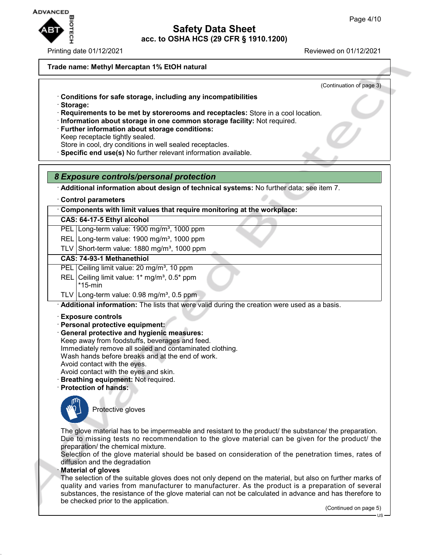

Printing date 01/12/2021 Reviewed on 01/12/2021

### **Trade name: Methyl Mercaptan 1% EtOH natural**

(Continuation of page 3)

- · **Conditions for safe storage, including any incompatibilities**
- · **Storage:**
- · **Requirements to be met by storerooms and receptacles:** Store in a cool location.
- · **Information about storage in one common storage facility:** Not required.
- · **Further information about storage conditions:**
- Keep receptacle tightly sealed.

Store in cool, dry conditions in well sealed receptacles.

· **Specific end use(s)** No further relevant information available.

### *8 Exposure controls/personal protection*

· **Additional information about design of technical systems:** No further data; see item 7.

· **Control parameters**

· **Components with limit values that require monitoring at the workplace:**

### **CAS: 64-17-5 Ethyl alcohol**

- PEL Long-term value: 1900 mg/m<sup>3</sup>, 1000 ppm
- REL Long-term value: 1900 mg/m<sup>3</sup>, 1000 ppm
- TLV Short-term value:  $1880 \text{ mg/m}^3$ , 1000 ppm

### **CAS: 74-93-1 Methanethiol**

- PEL Ceiling limit value: 20 mg/m<sup>3</sup>, 10 ppm
- REL Ceiling limit value:  $1*$  mg/m<sup>3</sup>,  $0.5*$  ppm
- \*15-min
- TLV Long-term value:  $0.98 \text{ mg/m}^3$ ,  $0.5 \text{ ppm}$

· **Additional information:** The lists that were valid during the creation were used as a basis.

- · **Exposure controls**
- · **Personal protective equipment:**
- · **General protective and hygienic measures:**
- Keep away from foodstuffs, beverages and feed. Immediately remove all soiled and contaminated clothing. Wash hands before breaks and at the end of work. Avoid contact with the eyes.
- Avoid contact with the eyes and skin.
- · **Breathing equipment:** Not required.
- · **Protection of hands:**



Protective gloves

The glove material has to be impermeable and resistant to the product/ the substance/ the preparation. Due to missing tests no recommendation to the glove material can be given for the product/ the preparation/ the chemical mixture.

Selection of the glove material should be based on consideration of the penetration times, rates of diffusion and the degradation

#### · **Material of gloves**

The selection of the suitable gloves does not only depend on the material, but also on further marks of quality and varies from manufacturer to manufacturer. As the product is a preparation of several substances, the resistance of the glove material can not be calculated in advance and has therefore to be checked prior to the application.

(Continued on page 5)

US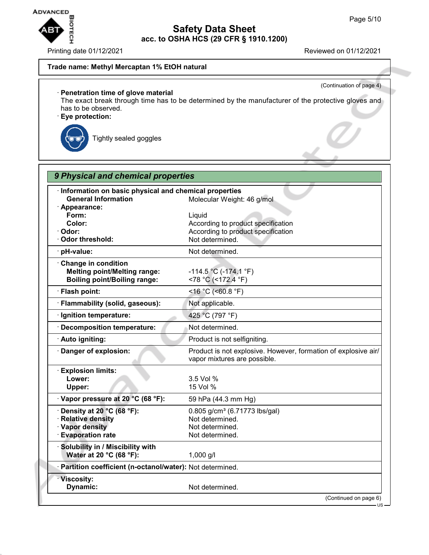

Printing date 01/12/2021 **Reviewed on 01/12/2021** 

(Continuation of page 4)

### **Trade name: Methyl Mercaptan 1% EtOH natural**

## · **Penetration time of glove material**

The exact break through time has to be determined by the manufacturer of the protective gloves and has to be observed.

· **Eye protection:**



Tightly sealed goggles

| 9 Physical and chemical properties                                                                     |                                                                                                       |
|--------------------------------------------------------------------------------------------------------|-------------------------------------------------------------------------------------------------------|
| · Information on basic physical and chemical properties<br><b>General Information</b><br>· Appearance: | Molecular Weight: 46 g/mol                                                                            |
| Form:<br>Color:<br>· Odor:<br>· Odor threshold:                                                        | Liquid<br>According to product specification<br>According to product specification<br>Not determined. |
| · pH-value:                                                                                            | Not determined.                                                                                       |
| Change in condition<br><b>Melting point/Melting range:</b><br><b>Boiling point/Boiling range:</b>      | $-114.5$ °C ( $-174.1$ °F)<br><78 °C (<172.4 °F)                                                      |
| · Flash point:                                                                                         | <16 °C (<60.8 °F)                                                                                     |
| · Flammability (solid, gaseous):                                                                       | Not applicable.                                                                                       |
| · Ignition temperature:                                                                                | 425 °C (797 °F)                                                                                       |
| · Decomposition temperature:                                                                           | Not determined.                                                                                       |
| · Auto igniting:                                                                                       | Product is not selfigniting.                                                                          |
| · Danger of explosion:                                                                                 | Product is not explosive. However, formation of explosive air/<br>vapor mixtures are possible.        |
| · Explosion limits:<br>Lower:<br>Upper:                                                                | 3.5 Vol %<br>15 Vol %                                                                                 |
| · Vapor pressure at 20 °C (68 °F):                                                                     | 59 hPa (44.3 mm Hg)                                                                                   |
| $\cdot$ Density at 20 °C (68 °F):<br>· Relative density<br>· Vapor density<br>· Evaporation rate       | 0.805 g/cm <sup>3</sup> (6.71773 lbs/gal)<br>Not determined.<br>Not determined.<br>Not determined.    |
| · Solubility in / Miscibility with<br>Water at 20 °C (68 °F):                                          | 1,000 g/l                                                                                             |
| · Partition coefficient (n-octanol/water): Not determined.                                             |                                                                                                       |
| · Viscosity:<br>Dynamic:                                                                               | Not determined.                                                                                       |
|                                                                                                        | (Continued on page 6)                                                                                 |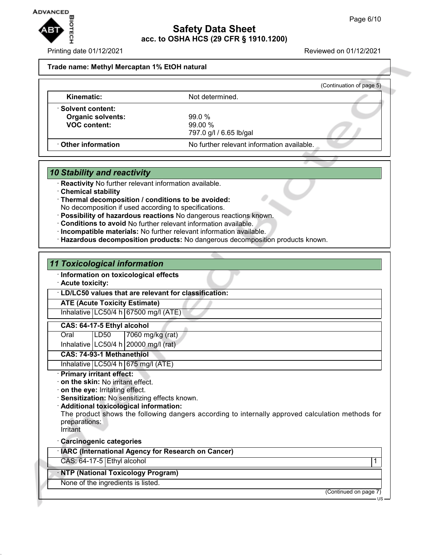

#### Printing date 01/12/2021 Reviewed on 01/12/2021

#### **Trade name: Methyl Mercaptan 1% EtOH natural**

|                          |                                            | (Continuation of page 5) |
|--------------------------|--------------------------------------------|--------------------------|
| Kinematic:               | Not determined.                            |                          |
| · Solvent content:       |                                            |                          |
| <b>Organic solvents:</b> | 99.0%                                      |                          |
| <b>VOC content:</b>      | $99.00\%$                                  |                          |
|                          | 797.0 g/l / 6.65 lb/gal                    |                          |
| Other information        | No further relevant information available. |                          |

### *10 Stability and reactivity*

**Reactivity** No further relevant information available.

- · **Chemical stability**
- · **Thermal decomposition / conditions to be avoided:** No decomposition if used according to specifications.
- 
- · **Possibility of hazardous reactions** No dangerous reactions known.
- · **Conditions to avoid** No further relevant information available.
- · **Incompatible materials:** No further relevant information available.
- · **Hazardous decomposition products:** No dangerous decomposition products known.

### *11 Toxicological information*

· **Information on toxicological effects**

### · **Acute toxicity:**

· **LD/LC50 values that are relevant for classification:**

### **ATE (Acute Toxicity Estimate)**

Inhalative  $LC50/4$  h 67500 mg/l (ATE)

### **CAS: 64-17-5 Ethyl alcohol**

Oral LD50 7060 mg/kg (rat)

Inhalative  $\lfloor$  LC50/4 h $\rfloor$  20000 mg/l (rat)

### **CAS: 74-93-1 Methanethiol**

Inhalative  $LC50/4$  h 675 mg/l (ATE)

### · **Primary irritant effect:**

- · **on the skin:** No irritant effect.
- · **on the eye:** Irritating effect.
- · **Sensitization:** No sensitizing effects known.
- · **Additional toxicological information:**

The product shows the following dangers according to internally approved calculation methods for preparations:

Irritant

· **Carcinogenic categories**

| · IARC (International Agency for Research on Cancer) |  |  |  |
|------------------------------------------------------|--|--|--|
|------------------------------------------------------|--|--|--|

CAS: 64-17-5 Ethyl alcohol 1

### · **NTP (National Toxicology Program)**

### None of the ingredients is listed.

(Continued on page 7)

US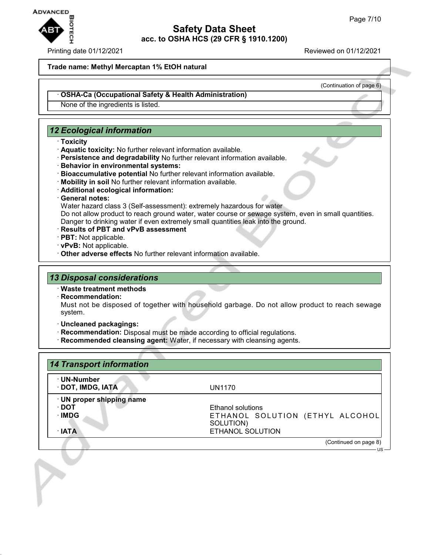

#### Printing date 01/12/2021 Reviewed on 01/12/2021

#### **Trade name: Methyl Mercaptan 1% EtOH natural**

(Continuation of page 6)

US

#### · **OSHA-Ca (Occupational Safety & Health Administration)**

None of the ingredients is listed.

## *12 Ecological information*

- · **Toxicity**
- · **Aquatic toxicity:** No further relevant information available.
- · **Persistence and degradability** No further relevant information available.
- · **Behavior in environmental systems:**
- · **Bioaccumulative potential** No further relevant information available.
- · **Mobility in soil** No further relevant information available.
- · **Additional ecological information:**

#### · **General notes:**

Water hazard class 3 (Self-assessment): extremely hazardous for water

Do not allow product to reach ground water, water course or sewage system, even in small quantities. Danger to drinking water if even extremely small quantities leak into the ground.

- · **Results of PBT and vPvB assessment**
- · **PBT:** Not applicable.
- · **vPvB:** Not applicable.
- · **Other adverse effects** No further relevant information available.

## *13 Disposal considerations*

#### · **Waste treatment methods**

· **Recommendation:**

Must not be disposed of together with household garbage. Do not allow product to reach sewage system.

- · **Uncleaned packagings:**
- · **Recommendation:** Disposal must be made according to official regulations.
- · **Recommended cleansing agent:** Water, if necessary with cleansing agents.

| · UN-Number               |                                 |
|---------------------------|---------------------------------|
| · DOT, IMDG, IATA         | UN1170                          |
| · UN proper shipping name |                                 |
| ∙ DOT                     | Ethanol solutions               |
| ∴IMDG                     | ETHANOL SOLUTION (ETHYL ALCOHOL |
|                           | SOLUTION)                       |
| $\cdot$ IATA              | ETHANOL SOLUTION                |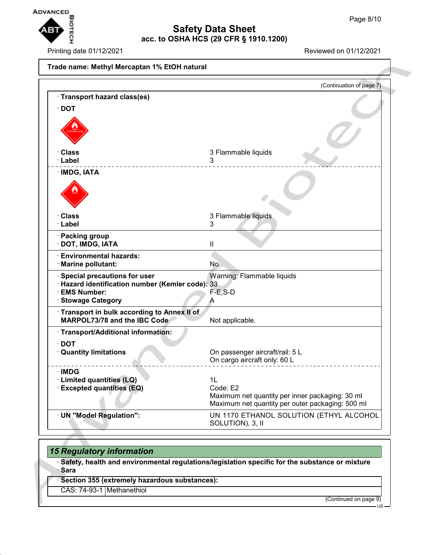$\overline{1}$ 



# **Safety Data Sheet acc. to OSHA HCS (29 CFR § 1910.1200)**

Printing date 01/12/2021 Reviewed on 01/12/2021

| Trade name: Methyl Mercaptan 1% EtOH natural                      |                                                             |
|-------------------------------------------------------------------|-------------------------------------------------------------|
|                                                                   | (Continuation of page 7)                                    |
| · Transport hazard class(es)                                      |                                                             |
| $\cdot$ DOT                                                       |                                                             |
|                                                                   |                                                             |
|                                                                   |                                                             |
| · Class                                                           | 3 Flammable liquids                                         |
| · Label                                                           | 3                                                           |
| · IMDG, IATA                                                      |                                                             |
|                                                                   |                                                             |
| · Class                                                           |                                                             |
| · Label                                                           | 3 Flammable liquids<br>3                                    |
| · Packing group                                                   |                                                             |
| · DOT, IMDG, IATA                                                 | Ш                                                           |
| · Environmental hazards:                                          |                                                             |
| · Marine pollutant:                                               | No                                                          |
| · Special precautions for user                                    | Warning: Flammable liquids                                  |
| · Hazard identification number (Kemler code): 33<br>· EMS Number: | $F-E$ , S-D                                                 |
| <b>Stowage Category</b>                                           | Α                                                           |
| Transport in bulk according to Annex II of                        |                                                             |
| <b>MARPOL73/78 and the IBC Code</b>                               | Not applicable.                                             |
| · Transport/Additional information:                               |                                                             |
| $\cdot$ DOT                                                       |                                                             |
| <b>Quantity limitations</b>                                       | On passenger aircraft/rail: 5 L                             |
|                                                                   | On cargo aircraft only: 60 L                                |
| · IMDG                                                            |                                                             |
| · Limited quantities (LQ)                                         | 1L<br>Code: E2                                              |
| <b>Excepted quantities (EQ)</b>                                   | Maximum net quantity per inner packaging: 30 ml             |
|                                                                   | Maximum net quantity per outer packaging: 500 ml            |
| · UN "Model Regulation":                                          | UN 1170 ETHANOL SOLUTION (ETHYL ALCOHOL<br>SOLUTION), 3, II |

# *15 Regulatory information*

· **Safety, health and environmental regulations/legislation specific for the substance or mixture** · **Sara**

· **Section 355 (extremely hazardous substances):**

CAS: 74-93-1 Methanethiol

(Continued on page 9)

US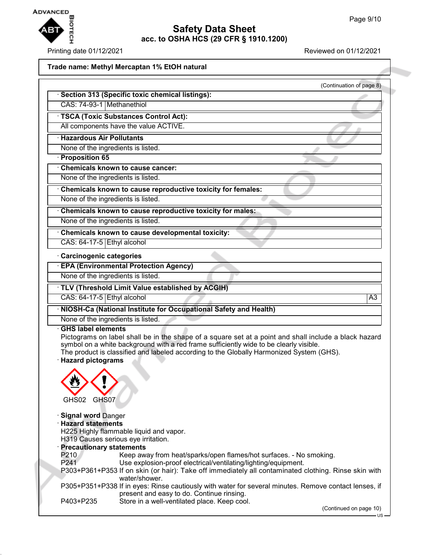

### Printing date 01/12/2021 Reviewed on 01/12/2021

## **Trade name: Methyl Mercaptan 1% EtOH natural**

| <u>Haue Hallie. Methyl Mercaptall T76 Eton Hatural</u>      |                          |
|-------------------------------------------------------------|--------------------------|
|                                                             | (Continuation of page 8) |
| Section 313 (Specific toxic chemical listings):             |                          |
| CAS: 74-93-1 Methanethiol                                   |                          |
| <b>TSCA (Toxic Substances Control Act):</b>                 |                          |
| All components have the value ACTIVE.                       |                          |
| <b>Hazardous Air Pollutants</b>                             |                          |
| None of the ingredients is listed.                          |                          |
| <b>Proposition 65</b>                                       |                          |
| Chemicals known to cause cancer:                            |                          |
| None of the ingredients is listed.                          |                          |
| Chemicals known to cause reproductive toxicity for females: |                          |
| None of the ingredients is listed.                          |                          |
| Chemicals known to cause reproductive toxicity for males:   |                          |
| None of the ingredients is listed.                          |                          |
| Chemicals known to cause developmental toxicity:            |                          |
| CAS: $64-17-5$ Ethyl alcohol                                |                          |
| · Carcinogenic categories                                   |                          |
| <b>EPA (Environmental Protection Agency)</b>                |                          |
| None of the ingredients is listed.                          |                          |
| TLV (Threshold Limit Value established by ACGIH)            |                          |

CAS: 64-17-5 Ethyl alcohol A3

· **NIOSH-Ca (National Institute for Occupational Safety and Health)**

None of the ingredients is listed.

### · **GHS label elements**

Pictograms on label shall be in the shape of a square set at a point and shall include a black hazard symbol on a white background with a red frame sufficiently wide to be clearly visible. The product is classified and labeled according to the Globally Harmonized System (GHS).

· **Hazard pictograms**



· **Signal word** Danger · **Hazard statements** H225 Highly flammable liquid and vapor. H319 Causes serious eye irritation. · **Precautionary statements** P210 Keep away from heat/sparks/open flames/hot surfaces. - No smoking.<br>P241 Use explosion-proof electrical/ventilating/lighting/equipment. Use explosion-proof electrical/ventilating/lighting/equipment. P303+P361+P353 If on skin (or hair): Take off immediately all contaminated clothing. Rinse skin with water/shower. P305+P351+P338 If in eyes: Rinse cautiously with water for several minutes. Remove contact lenses, if present and easy to do. Continue rinsing. P403+P235 Store in a well-ventilated place. Keep cool.

(Continued on page 10)

 $\overline{18}$